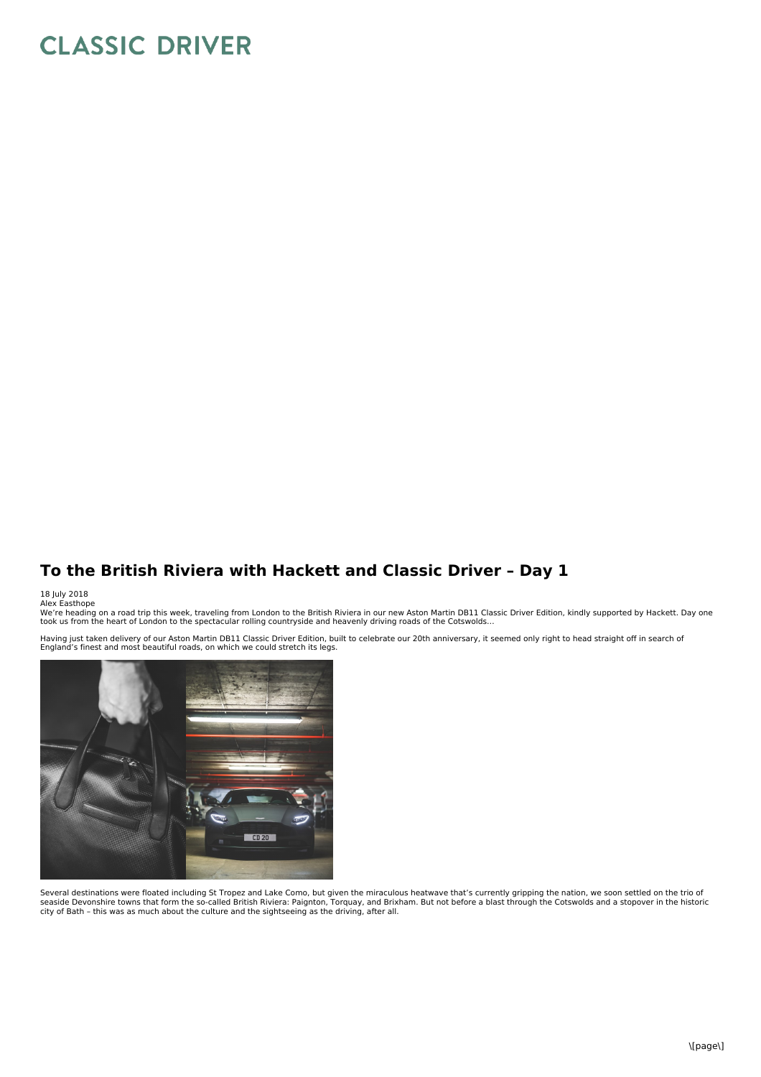## **CLASSIC DRIVER**

## **To the British Riviera with Hackett and Classic Driver – Day 1**

## 18 July 2018<br>Alex Easthope

We're heading on a road trip this week, traveling from London to the British Riviera in our new Aston Martin DB11 Classic Driver Edition, kindly supported by Hackett. Day one<br>took us from the heart of London to the spectac

Having just taken delivery of our Aston Martin DB11 Classic Driver Edition, built to celebrate our 20th anniversary, it seemed only right to head straight off in search of<br>England's finest and most beautiful roads, on whic



Several destinations were floated including St Tropez and Lake Como, but given the miraculous heatwave that's currently gripping the nation, we soon settled on the trio of<br>seaside Devonshire towns that form the so-called B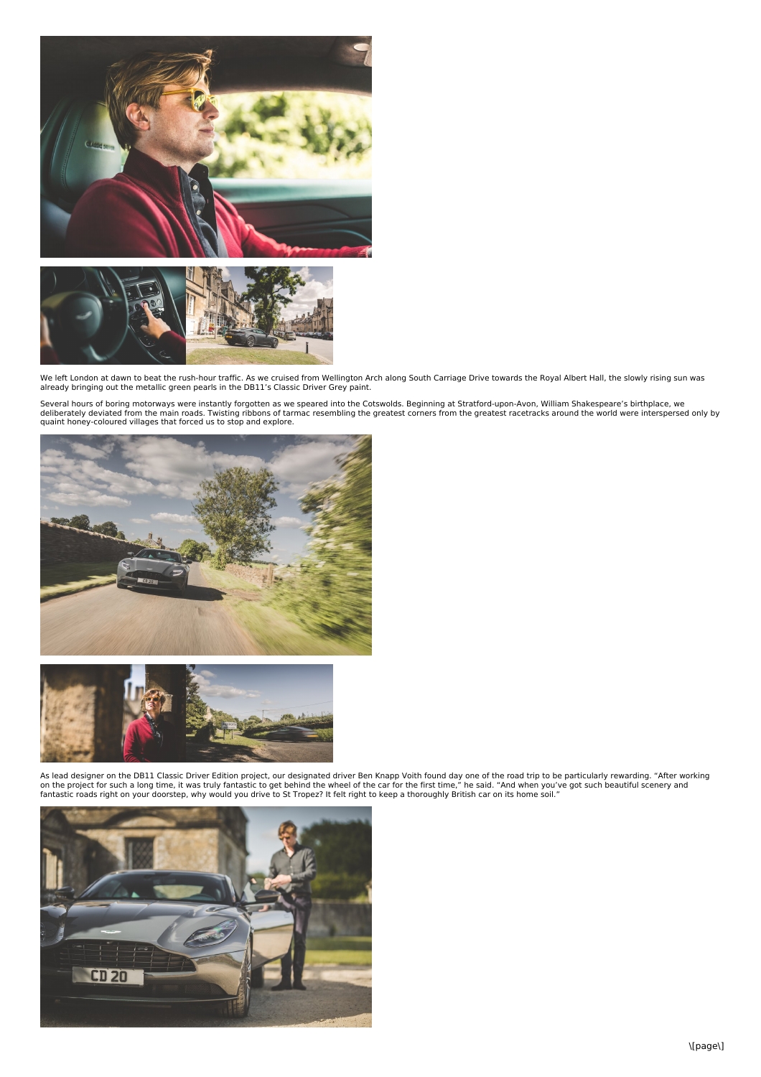



We left London at dawn to beat the rush-hour traffic. As we cruised from Wellington Arch along South Carriage Drive towards the Royal Albert Hall, the slowly rising sun was<br>already bringing out the metallic green pearls in

Several hours of boring motorways were instantly forgotten as we speared into the Cotswolds. Beginning at Stratford-upon-Avon, William Shakespeare's birthplace, we<br>deliberately deviated from the main roads. Twisting ribbon





As lead designer on the DB11 Classic Driver Edition project, our designated driver Ben Knapp Voith found day one of the road trip to be particularly rewarding. "After working<br>on the project for such a long time, it was tru